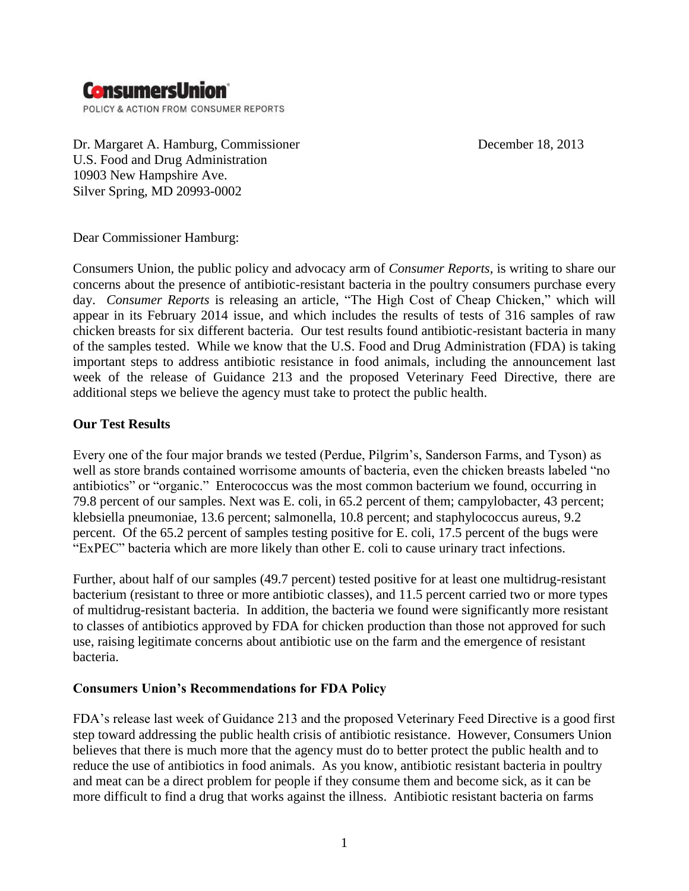## **ConsumersUnion**

POLICY & ACTION FROM CONSUMER REPORTS

Dr. Margaret A. Hamburg, Commissioner December 18, 2013 U.S. Food and Drug Administration 10903 New Hampshire Ave. Silver Spring, MD 20993-0002

Dear Commissioner Hamburg:

Consumers Union, the public policy and advocacy arm of *Consumer Reports,* is writing to share our concerns about the presence of antibiotic-resistant bacteria in the poultry consumers purchase every day. *Consumer Reports* is releasing an article, "The High Cost of Cheap Chicken," which will appear in its February 2014 issue, and which includes the results of tests of 316 samples of raw chicken breasts for six different bacteria. Our test results found antibiotic-resistant bacteria in many of the samples tested. While we know that the U.S. Food and Drug Administration (FDA) is taking important steps to address antibiotic resistance in food animals, including the announcement last week of the release of Guidance 213 and the proposed Veterinary Feed Directive, there are additional steps we believe the agency must take to protect the public health.

## **Our Test Results**

Every one of the four major brands we tested (Perdue, Pilgrim's, Sanderson Farms, and Tyson) as well as store brands contained worrisome amounts of bacteria, even the chicken breasts labeled "no antibiotics" or "organic." Enterococcus was the most common bacterium we found, occurring in 79.8 percent of our samples. Next was E. coli, in 65.2 percent of them; campylobacter, 43 percent; klebsiella pneumoniae, 13.6 percent; salmonella, 10.8 percent; and staphylococcus aureus, 9.2 percent. Of the 65.2 percent of samples testing positive for E. coli, 17.5 percent of the bugs were "ExPEC" bacteria which are more likely than other E. coli to cause urinary tract infections.

Further, about half of our samples (49.7 percent) tested positive for at least one multidrug-resistant bacterium (resistant to three or more antibiotic classes), and 11.5 percent carried two or more types of multidrug-resistant bacteria. In addition, the bacteria we found were significantly more resistant to classes of antibiotics approved by FDA for chicken production than those not approved for such use, raising legitimate concerns about antibiotic use on the farm and the emergence of resistant bacteria.

## **Consumers Union's Recommendations for FDA Policy**

FDA's release last week of Guidance 213 and the proposed Veterinary Feed Directive is a good first step toward addressing the public health crisis of antibiotic resistance. However, Consumers Union believes that there is much more that the agency must do to better protect the public health and to reduce the use of antibiotics in food animals. As you know, antibiotic resistant bacteria in poultry and meat can be a direct problem for people if they consume them and become sick, as it can be more difficult to find a drug that works against the illness. Antibiotic resistant bacteria on farms